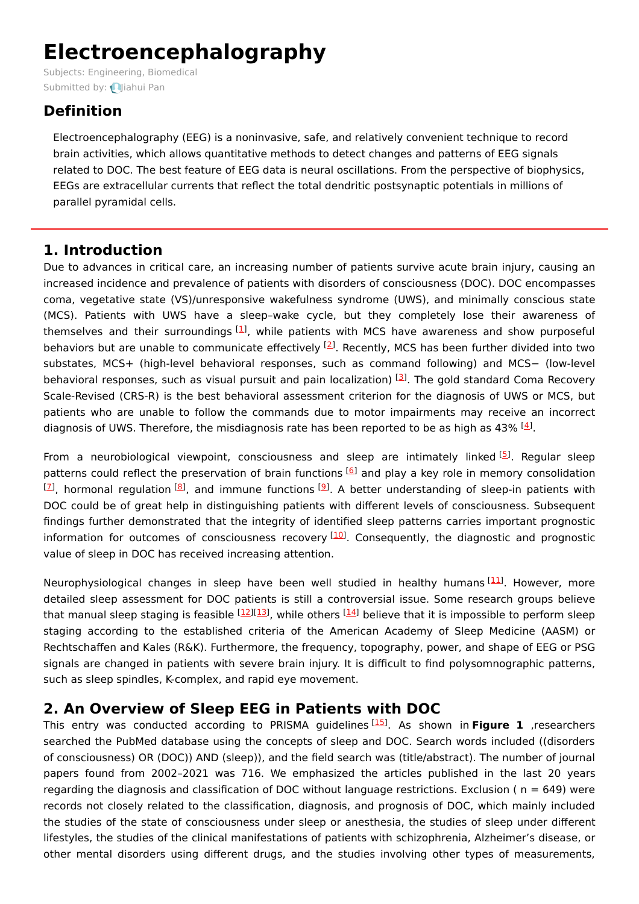# **Electroencephalography**

Subjects: [Engineering,](https://encyclopedia.pub/item/subject/82) Biomedical Submitted by: **Q**liahui Pan

## **Definition**

Electroencephalography (EEG) is a noninvasive, safe, and relatively convenient technique to record brain activities, which allows quantitative methods to detect changes and patterns of EEG signals related to DOC. The best feature of EEG data is neural oscillations. From the perspective of biophysics, EEGs are extracellular currents that reflect the total dendritic postsynaptic potentials in millions of parallel pyramidal cells.

### **1. Introduction**

Due to advances in critical care, an increasing number of patients survive acute brain injury, causing an increased incidence and prevalence of patients with disorders of consciousness (DOC). DOC encompasses coma, vegetative state (VS)/unresponsive wakefulness syndrome (UWS), and minimally conscious state (MCS). Patients with UWS have a sleep–wake cycle, but they completely lose their awareness of themselves and their surroundings [\[1](#page-4-0)], while patients with MCS have awareness and show purposeful behaviors but are unable to communicate effectively <sup>[\[2](#page-4-1)]</sup>. Recently, MCS has been further divided into two substates, MCS+ (high-level behavioral responses, such as command following) and MCS− (low-level behavioral responses, such as visual pursuit and pain localization) <sup>[\[3](#page-4-2)]</sup>. The gold standard Coma Recovery Scale-Revised (CRS-R) is the best behavioral assessment criterion for the diagnosis of UWS or MCS, but patients who are unable to follow the commands due to motor impairments may receive an incorrect diagnosis of UWS. Therefore, the misdiagnosis rate has been reported to be as high as 43%  $[4]$  $[4]$ .

From a neurobiological viewpoint, consciousness and sleep are intimately linked <sup>[\[5](#page-4-4)]</sup>. Regular sleep patterns could reflect the preservation of brain functions [[6](#page-4-5)] and play a key role in memory consolidation  $^{[2]}$ , hormonal regulation  $^{[8]}$  $^{[8]}$  $^{[8]}$ , and immune functions  $^{[9]}$  $^{[9]}$  $^{[9]}$ . A better understanding of sleep-in patients with DOC could be of great help in distinguishing patients with different levels of consciousness. Subsequent findings further demonstrated that the integrity of identified sleep patterns carries important prognostic information for outcomes of consciousness recovery <sup>[\[10\]](#page-5-2)</sup>. Consequently, the diagnostic and prognostic value of sleep in DOC has received increasing attention.

Neurophysiological changes in sleep have been well studied in healthy humans [[11](#page-5-3)]. However, more detailed sleep assessment for DOC patients is still a controversial issue. Some research groups believe that manual sleep staging is feasible <sup>[[12](#page-5-4)][\[13](#page-5-5)]</sup>, while others <sup>[\[14\]](#page-5-6)</sup> believe that it is impossible to perform sleep staging according to the established criteria of the American Academy of Sleep Medicine (AASM) or Rechtschaffen and Kales (R&K). Furthermore, the frequency, topography, power, and shape of EEG or PSG signals are changed in patients with severe brain injury. It is difficult to find polysomnographic patterns, such as sleep spindles, K-complex, and rapid eye movement.

### **2. An Overview of Sleep EEG in Patients with DOC**

This entry was conducted according to PRISMA guidelines<sup>[[15\]](#page-5-7)</sup>. As shown in Figure 1, researchers searched the PubMed database using the concepts of sleep and DOC. Search words included ((disorders of consciousness) OR (DOC)) AND (sleep)), and the field search was (title/abstract). The number of journal papers found from 2002–2021 was 716. We emphasized the articles published in the last 20 years regarding the diagnosis and classification of DOC without language restrictions. Exclusion ( $n = 649$ ) were records not closely related to the classification, diagnosis, and prognosis of DOC, which mainly included the studies of the state of consciousness under sleep or anesthesia, the studies of sleep under different lifestyles, the studies of the clinical manifestations of patients with schizophrenia, Alzheimer's disease, or other mental disorders using different drugs, and the studies involving other types of measurements,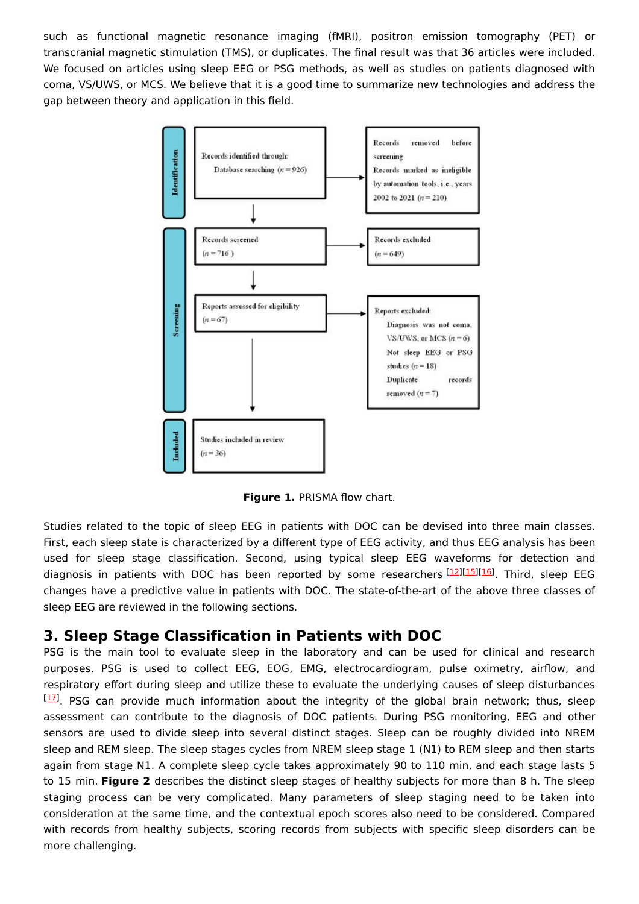such as functional magnetic resonance imaging (fMRI), positron emission tomography (PET) or transcranial magnetic stimulation (TMS), or duplicates. The final result was that 36 articles were included. We focused on articles using sleep EEG or PSG methods, as well as studies on patients diagnosed with coma, VS/UWS, or MCS. We believe that it is a good time to summarize new technologies and address the gap between theory and application in this field.



**Figure 1.** PRISMA flow chart.

Studies related to the topic of sleep EEG in patients with DOC can be devised into three main classes. First, each sleep state is characterized by a different type of EEG activity, and thus EEG analysis has been used for sleep stage classification. Second, using typical sleep EEG waveforms for detection and diagnosis in patients with DOC has been reported by some researchers [\[12\]](#page-5-4)[[15](#page-5-7)][\[16\]](#page-5-8). Third, sleep EEG changes have a predictive value in patients with DOC. The state-of-the-art of the above three classes of sleep EEG are reviewed in the following sections.

### **3. Sleep Stage Classification in Patients with DOC**

PSG is the main tool to evaluate sleep in the laboratory and can be used for clinical and research purposes. PSG is used to collect EEG, EOG, EMG, electrocardiogram, pulse oximetry, airflow, and respiratory effort during sleep and utilize these to evaluate the underlying causes of sleep disturbances  $[17]$  $[17]$  $[17]$ . PSG can provide much information about the integrity of the global brain network; thus, sleep assessment can contribute to the diagnosis of DOC patients. During PSG monitoring, EEG and other sensors are used to divide sleep into several distinct stages. Sleep can be roughly divided into NREM sleep and REM sleep. The sleep stages cycles from NREM sleep stage 1 (N1) to REM sleep and then starts again from stage N1. A complete sleep cycle takes approximately 90 to 110 min, and each stage lasts 5 to 15 min. **Figure 2** describes the distinct sleep stages of healthy subjects for more than 8 h. The sleep staging process can be very complicated. Many parameters of sleep staging need to be taken into consideration at the same time, and the contextual epoch scores also need to be considered. Compared with records from healthy subjects, scoring records from subjects with specific sleep disorders can be more challenging.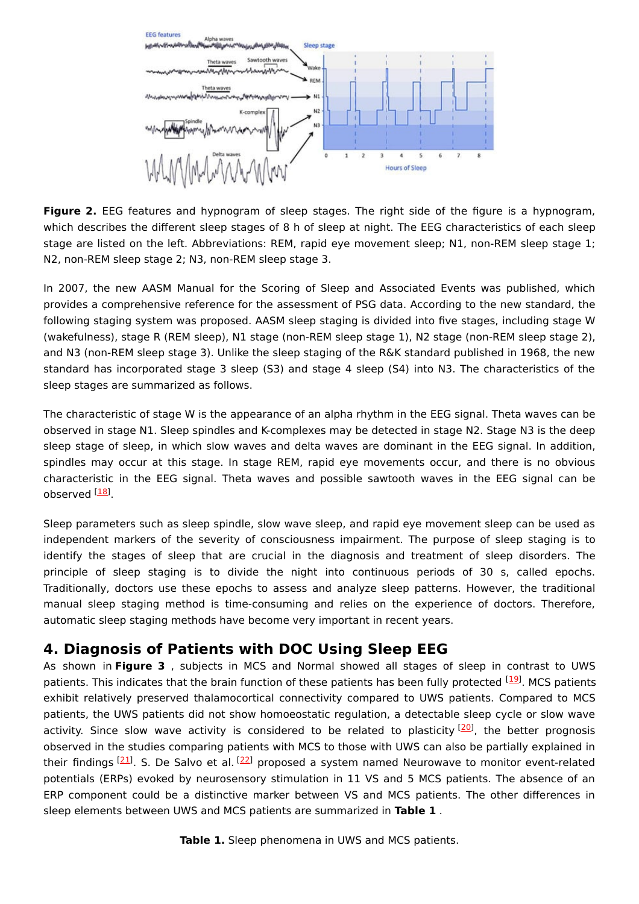

**Figure 2.** EEG features and hypnogram of sleep stages. The right side of the figure is a hypnogram, which describes the different sleep stages of 8 h of sleep at night. The EEG characteristics of each sleep stage are listed on the left. Abbreviations: REM, rapid eye movement sleep; N1, non-REM sleep stage 1; N2, non-REM sleep stage 2; N3, non-REM sleep stage 3.

In 2007, the new AASM Manual for the Scoring of Sleep and Associated Events was published, which provides a comprehensive reference for the assessment of PSG data. According to the new standard, the following staging system was proposed. AASM sleep staging is divided into five stages, including stage W (wakefulness), stage R (REM sleep), N1 stage (non-REM sleep stage 1), N2 stage (non-REM sleep stage 2), and N3 (non-REM sleep stage 3). Unlike the sleep staging of the R&K standard published in 1968, the new standard has incorporated stage 3 sleep (S3) and stage 4 sleep (S4) into N3. The characteristics of the sleep stages are summarized as follows.

The characteristic of stage W is the appearance of an alpha rhythm in the EEG signal. Theta waves can be observed in stage N1. Sleep spindles and K-complexes may be detected in stage N2. Stage N3 is the deep sleep stage of sleep, in which slow waves and delta waves are dominant in the EEG signal. In addition, spindles may occur at this stage. In stage REM, rapid eye movements occur, and there is no obvious characteristic in the EEG signal. Theta waves and possible sawtooth waves in the EEG signal can be observed <sup>[<u>18</u>]</sup>

Sleep parameters such as sleep spindle, slow wave sleep, and rapid eye movement sleep can be used as independent markers of the severity of consciousness impairment. The purpose of sleep staging is to identify the stages of sleep that are crucial in the diagnosis and treatment of sleep disorders. The principle of sleep staging is to divide the night into continuous periods of 30 s, called epochs. Traditionally, doctors use these epochs to assess and analyze sleep patterns. However, the traditional manual sleep staging method is time-consuming and relies on the experience of doctors. Therefore, automatic sleep staging methods have become very important in recent years.

#### **4. Diagnosis of Patients with DOC Using Sleep EEG**

As shown in **Figure 3** , subjects in MCS and Normal showed all stages of sleep in contrast to UWS patients. This indicates that the brain function of these patients has been fully protected <sup>[\[19](#page-5-11)]</sup>. MCS patients exhibit relatively preserved thalamocortical connectivity compared to UWS patients. Compared to MCS patients, the UWS patients did not show homoeostatic regulation, a detectable sleep cycle or slow wave activity. Since slow wave activity is considered to be related to plasticity [\[20](#page-5-12)], the better prognosis observed in the studies comparing patients with MCS to those with UWS can also be partially explained in their findings [[21\]](#page-5-13). S. De Salvo et al. <sup>[[22](#page-5-14)]</sup> proposed a system named Neurowave to monitor event-related potentials (ERPs) evoked by neurosensory stimulation in 11 VS and 5 MCS patients. The absence of an ERP component could be a distinctive marker between VS and MCS patients. The other differences in sleep elements between UWS and MCS patients are summarized in **Table 1** .

**Table 1.** Sleep phenomena in UWS and MCS patients.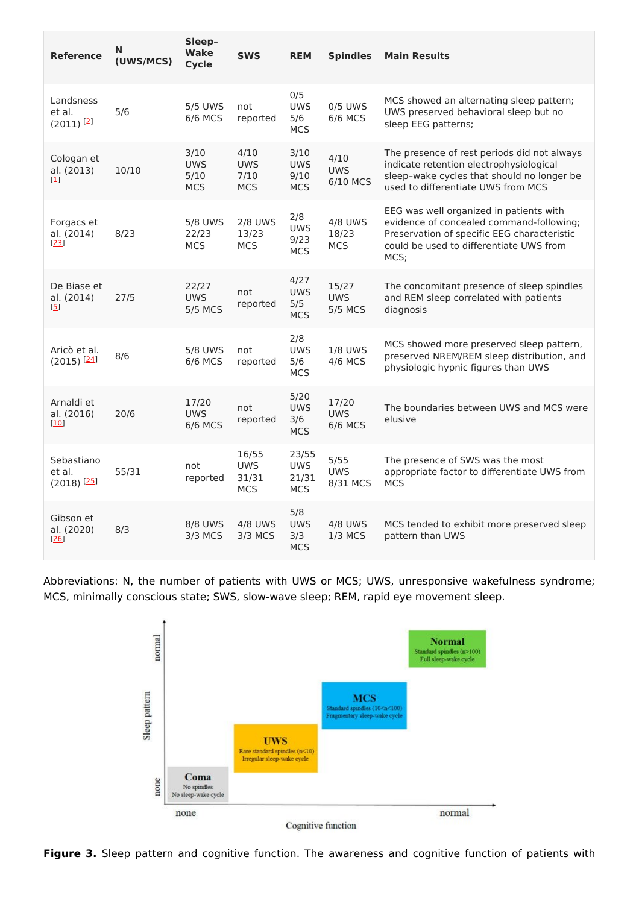| Reference                                                     | N<br>(UWS/MCS) | Sleep-<br><b>Wake</b><br><b>Cycle</b>    | <b>SWS</b>                                 | <b>REM</b>                                 | <b>Spindles</b>                       | <b>Main Results</b>                                                                                                                                                                   |
|---------------------------------------------------------------|----------------|------------------------------------------|--------------------------------------------|--------------------------------------------|---------------------------------------|---------------------------------------------------------------------------------------------------------------------------------------------------------------------------------------|
| Landsness<br>et al.<br>$(2011)$ <sup>[2]</sup>                | 5/6            | <b>5/5 UWS</b><br><b>6/6 MCS</b>         | not<br>reported                            | 0/5<br><b>UWS</b><br>5/6<br><b>MCS</b>     | 0/5 UWS<br>6/6 MCS                    | MCS showed an alternating sleep pattern;<br>UWS preserved behavioral sleep but no<br>sleep EEG patterns;                                                                              |
| Cologan et<br>al. (2013)<br>$\begin{bmatrix} 1 \end{bmatrix}$ | 10/10          | 3/10<br><b>UWS</b><br>5/10<br><b>MCS</b> | 4/10<br><b>UWS</b><br>7/10<br><b>MCS</b>   | 3/10<br><b>UWS</b><br>9/10<br><b>MCS</b>   | 4/10<br><b>UWS</b><br>6/10 MCS        | The presence of rest periods did not always<br>indicate retention electrophysiological<br>sleep-wake cycles that should no longer be<br>used to differentiate UWS from MCS            |
| Forgacs et<br>al. (2014)<br>$[23]$                            | 8/23           | <b>5/8 UWS</b><br>22/23<br><b>MCS</b>    | <b>2/8 UWS</b><br>13/23<br><b>MCS</b>      | 2/8<br><b>UWS</b><br>9/23<br><b>MCS</b>    | <b>4/8 UWS</b><br>18/23<br><b>MCS</b> | EEG was well organized in patients with<br>evidence of concealed command-following;<br>Preservation of specific EEG characteristic<br>could be used to differentiate UWS from<br>MCS; |
| De Biase et<br>al. (2014)<br>[5]                              | 27/5           | 22/27<br><b>UWS</b><br><b>5/5 MCS</b>    | not<br>reported                            | 4/27<br><b>UWS</b><br>5/5<br><b>MCS</b>    | 15/27<br><b>UWS</b><br><b>5/5 MCS</b> | The concomitant presence of sleep spindles<br>and REM sleep correlated with patients<br>diagnosis                                                                                     |
| Aricò et al.<br>$(2015)$ <sup>[24]</sup>                      | 8/6            | <b>5/8 UWS</b><br>6/6 MCS                | not<br>reported                            | 2/8<br><b>UWS</b><br>5/6<br><b>MCS</b>     | <b>1/8 UWS</b><br>4/6 MCS             | MCS showed more preserved sleep pattern,<br>preserved NREM/REM sleep distribution, and<br>physiologic hypnic figures than UWS                                                         |
| Arnaldi et<br>al. (2016)<br>[10]                              | 20/6           | 17/20<br><b>UWS</b><br><b>6/6 MCS</b>    | not<br>reported                            | 5/20<br><b>UWS</b><br>3/6<br><b>MCS</b>    | 17/20<br><b>UWS</b><br><b>6/6 MCS</b> | The boundaries between UWS and MCS were<br>elusive                                                                                                                                    |
| Sebastiano<br>et al.<br>$(2018)$ <sup>[25]</sup>              | 55/31          | not<br>reported                          | 16/55<br><b>UWS</b><br>31/31<br><b>MCS</b> | 23/55<br><b>UWS</b><br>21/31<br><b>MCS</b> | 5/55<br><b>UWS</b><br>8/31 MCS        | The presence of SWS was the most<br>appropriate factor to differentiate UWS from<br><b>MCS</b>                                                                                        |
| Gibson et<br>al. (2020)<br>[26]                               | 8/3            | <b>8/8 UWS</b><br>3/3 MCS                | <b>4/8 UWS</b><br>3/3 MCS                  | 5/8<br><b>UWS</b><br>3/3<br><b>MCS</b>     | 4/8 UWS<br>$1/3$ MCS                  | MCS tended to exhibit more preserved sleep<br>pattern than UWS                                                                                                                        |

Abbreviations: N, the number of patients with UWS or MCS; UWS, unresponsive wakefulness syndrome; MCS, minimally conscious state; SWS, slow-wave sleep; REM, rapid eye movement sleep.



**Figure 3.** Sleep pattern and cognitive function. The awareness and cognitive function of patients with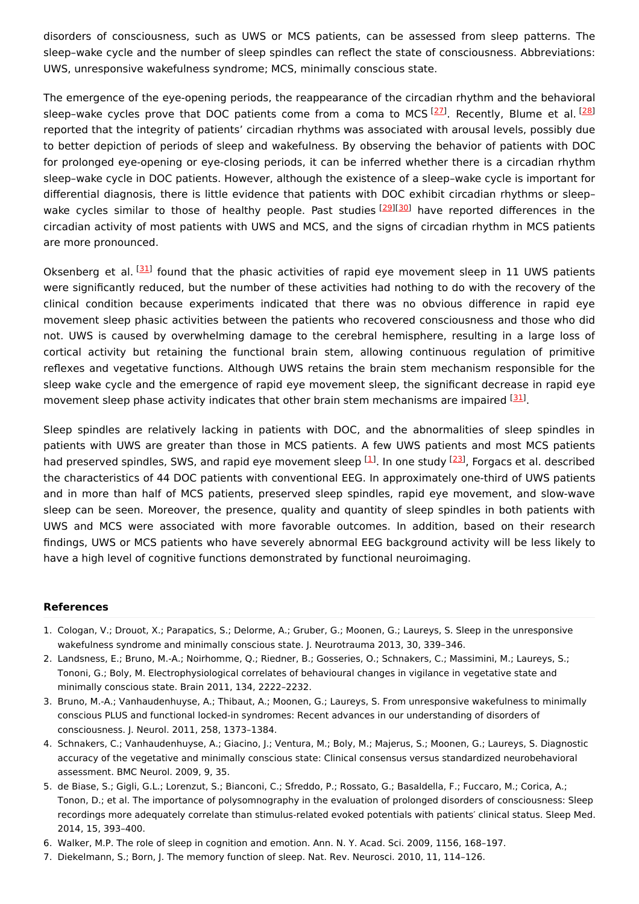disorders of consciousness, such as UWS or MCS patients, can be assessed from sleep patterns. The sleep–wake cycle and the number of sleep spindles can reflect the state of consciousness. Abbreviations: UWS, unresponsive wakefulness syndrome; MCS, minimally conscious state.

The emergence of the eye-opening periods, the reappearance of the circadian rhythm and the behavioral sleep-wake cycles prove that DOC patients come from a coma to MCS [[27](#page-5-19)]. Recently, Blume et al. [\[28](#page-5-20)] reported that the integrity of patients' circadian rhythms was associated with arousal levels, possibly due to better depiction of periods of sleep and wakefulness. By observing the behavior of patients with DOC for prolonged eye-opening or eye-closing periods, it can be inferred whether there is a circadian rhythm sleep–wake cycle in DOC patients. However, although the existence of a sleep–wake cycle is important for differential diagnosis, there is little evidence that patients with DOC exhibit circadian rhythms or sleep– wake cycles similar to those of healthy people. Past studies [[29](#page-5-21)][\[30](#page-5-22)] have reported differences in the circadian activity of most patients with UWS and MCS, and the signs of circadian rhythm in MCS patients are more pronounced.

Oksenberg et al. <sup>[[31\]](#page-5-23)</sup> found that the phasic activities of rapid eye movement sleep in 11 UWS patients were significantly reduced, but the number of these activities had nothing to do with the recovery of the clinical condition because experiments indicated that there was no obvious difference in rapid eye movement sleep phasic activities between the patients who recovered consciousness and those who did not. UWS is caused by overwhelming damage to the cerebral hemisphere, resulting in a large loss of cortical activity but retaining the functional brain stem, allowing continuous regulation of primitive reflexes and vegetative functions. Although UWS retains the brain stem mechanism responsible for the sleep wake cycle and the emergence of rapid eye movement sleep, the significant decrease in rapid eye movement sleep phase activity indicates that other brain stem mechanisms are impaired [[31](#page-5-23)].

Sleep spindles are relatively lacking in patients with DOC, and the abnormalities of sleep spindles in patients with UWS are greater than those in MCS patients. A few UWS patients and most MCS patients had preserved spindles, SWS, and rapid eye movement sleep <sup>[\[1](#page-4-0)]</sup>. In one study <sup>[[23](#page-5-15)]</sup>, Forgacs et al. described the characteristics of 44 DOC patients with conventional EEG. In approximately one-third of UWS patients and in more than half of MCS patients, preserved sleep spindles, rapid eye movement, and slow-wave sleep can be seen. Moreover, the presence, quality and quantity of sleep spindles in both patients with UWS and MCS were associated with more favorable outcomes. In addition, based on their research findings, UWS or MCS patients who have severely abnormal EEG background activity will be less likely to have a high level of cognitive functions demonstrated by functional neuroimaging.

#### **References**

- <span id="page-4-0"></span>1. Cologan, V.; Drouot, X.; Parapatics, S.; Delorme, A.; Gruber, G.; Moonen, G.; Laureys, S. Sleep in the unresponsive wakefulness syndrome and minimally conscious state. J. Neurotrauma 2013, 30, 339–346.
- <span id="page-4-1"></span>2. Landsness, E.; Bruno, M.-A.; Noirhomme, Q.; Riedner, B.; Gosseries, O.; Schnakers, C.; Massimini, M.; Laureys, S.; Tononi, G.; Boly, M. Electrophysiological correlates of behavioural changes in vigilance in vegetative state and minimally conscious state. Brain 2011, 134, 2222–2232.
- <span id="page-4-2"></span>3. Bruno, M.-A.; Vanhaudenhuyse, A.; Thibaut, A.; Moonen, G.; Laureys, S. From unresponsive wakefulness to minimally conscious PLUS and functional locked-in syndromes: Recent advances in our understanding of disorders of consciousness. J. Neurol. 2011, 258, 1373–1384.
- <span id="page-4-3"></span>4. Schnakers, C.; Vanhaudenhuyse, A.; Giacino, J.; Ventura, M.; Boly, M.; Majerus, S.; Moonen, G.; Laureys, S. Diagnostic accuracy of the vegetative and minimally conscious state: Clinical consensus versus standardized neurobehavioral assessment. BMC Neurol. 2009, 9, 35.
- <span id="page-4-4"></span>5. de Biase, S.; Gigli, G.L.; Lorenzut, S.; Bianconi, C.; Sfreddo, P.; Rossato, G.; Basaldella, F.; Fuccaro, M.; Corica, A.; Tonon, D.; et al. The importance of polysomnography in the evaluation of prolonged disorders of consciousness: Sleep recordings more adequately correlate than stimulus-related evoked potentials with patients′ clinical status. Sleep Med. 2014, 15, 393–400.
- <span id="page-4-5"></span>6. Walker, M.P. The role of sleep in cognition and emotion. Ann. N. Y. Acad. Sci. 2009, 1156, 168–197.
- <span id="page-4-6"></span>7. Diekelmann, S.; Born, J. The memory function of sleep. Nat. Rev. Neurosci. 2010, 11, 114–126.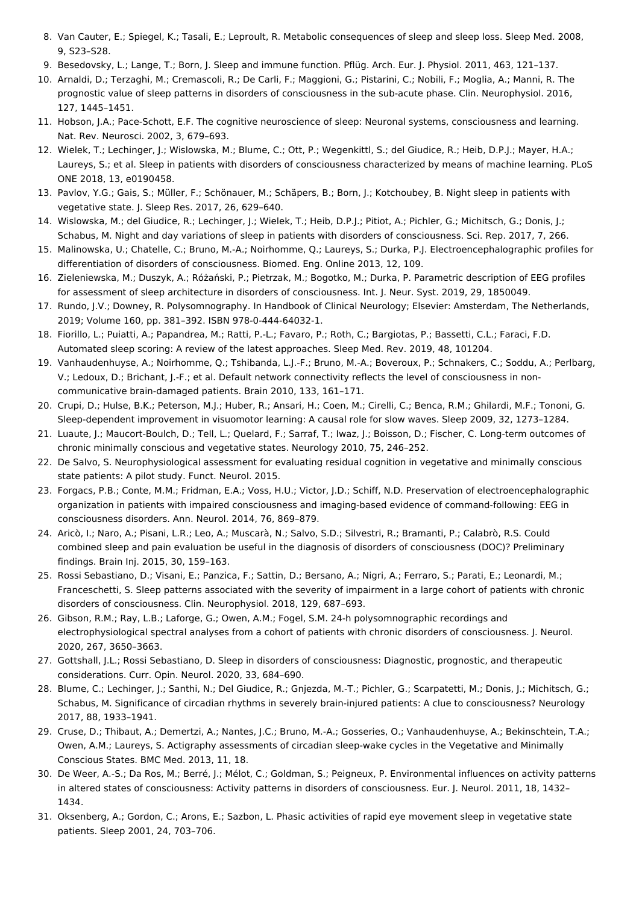- <span id="page-5-0"></span>8. Van Cauter, E.; Spiegel, K.; Tasali, E.; Leproult, R. Metabolic consequences of sleep and sleep loss. Sleep Med. 2008, 9, S23–S28.
- <span id="page-5-1"></span>9. Besedovsky, L.; Lange, T.; Born, J. Sleep and immune function. Pflüg. Arch. Eur. J. Physiol. 2011, 463, 121–137.
- <span id="page-5-2"></span>10. Arnaldi, D.; Terzaghi, M.; Cremascoli, R.; De Carli, F.; Maggioni, G.; Pistarini, C.; Nobili, F.; Moglia, A.; Manni, R. The prognostic value of sleep patterns in disorders of consciousness in the sub-acute phase. Clin. Neurophysiol. 2016, 127, 1445–1451.
- <span id="page-5-3"></span>11. Hobson, J.A.; Pace-Schott, E.F. The cognitive neuroscience of sleep: Neuronal systems, consciousness and learning. Nat. Rev. Neurosci. 2002, 3, 679–693.
- <span id="page-5-4"></span>12. Wielek, T.; Lechinger, J.; Wislowska, M.; Blume, C.; Ott, P.; Wegenkittl, S.; del Giudice, R.; Heib, D.P.J.; Mayer, H.A.; Laureys, S.; et al. Sleep in patients with disorders of consciousness characterized by means of machine learning. PLoS ONE 2018, 13, e0190458.
- <span id="page-5-5"></span>13. Pavlov, Y.G.; Gais, S.; Müller, F.; Schönauer, M.; Schäpers, B.; Born, J.; Kotchoubey, B. Night sleep in patients with vegetative state. J. Sleep Res. 2017, 26, 629–640.
- <span id="page-5-6"></span>14. Wislowska, M.; del Giudice, R.; Lechinger, J.; Wielek, T.; Heib, D.P.J.; Pitiot, A.; Pichler, G.; Michitsch, G.; Donis, J.; Schabus, M. Night and day variations of sleep in patients with disorders of consciousness. Sci. Rep. 2017, 7, 266.
- <span id="page-5-7"></span>15. Malinowska, U.; Chatelle, C.; Bruno, M.-A.; Noirhomme, Q.; Laureys, S.; Durka, P.J. Electroencephalographic profiles for differentiation of disorders of consciousness. Biomed. Eng. Online 2013, 12, 109.
- <span id="page-5-8"></span>16. Zieleniewska, M.; Duszyk, A.; Różański, P.; Pietrzak, M.; Bogotko, M.; Durka, P. Parametric description of EEG profiles for assessment of sleep architecture in disorders of consciousness. Int. J. Neur. Syst. 2019, 29, 1850049.
- <span id="page-5-9"></span>17. Rundo, J.V.; Downey, R. Polysomnography. In Handbook of Clinical Neurology; Elsevier: Amsterdam, The Netherlands, 2019; Volume 160, pp. 381–392. ISBN 978-0-444-64032-1.
- <span id="page-5-10"></span>18. Fiorillo, L.; Puiatti, A.; Papandrea, M.; Ratti, P.-L.; Favaro, P.; Roth, C.; Bargiotas, P.; Bassetti, C.L.; Faraci, F.D. Automated sleep scoring: A review of the latest approaches. Sleep Med. Rev. 2019, 48, 101204.
- <span id="page-5-11"></span>19. Vanhaudenhuyse, A.; Noirhomme, Q.; Tshibanda, L.J.-F.; Bruno, M.-A.; Boveroux, P.; Schnakers, C.; Soddu, A.; Perlbarg, V.; Ledoux, D.; Brichant, J.-F.; et al. Default network connectivity reflects the level of consciousness in noncommunicative brain-damaged patients. Brain 2010, 133, 161–171.
- <span id="page-5-12"></span>20. Crupi, D.; Hulse, B.K.; Peterson, M.J.; Huber, R.; Ansari, H.; Coen, M.; Cirelli, C.; Benca, R.M.; Ghilardi, M.F.; Tononi, G. Sleep-dependent improvement in visuomotor learning: A causal role for slow waves. Sleep 2009, 32, 1273–1284.
- <span id="page-5-13"></span>21. Luaute, J.; Maucort-Boulch, D.; Tell, L.; Quelard, F.; Sarraf, T.; Iwaz, J.; Boisson, D.; Fischer, C. Long-term outcomes of chronic minimally conscious and vegetative states. Neurology 2010, 75, 246–252.
- <span id="page-5-14"></span>22. De Salvo, S. Neurophysiological assessment for evaluating residual cognition in vegetative and minimally conscious state patients: A pilot study. Funct. Neurol. 2015.
- <span id="page-5-15"></span>23. Forgacs, P.B.; Conte, M.M.; Fridman, E.A.; Voss, H.U.; Victor, J.D.; Schiff, N.D. Preservation of electroencephalographic organization in patients with impaired consciousness and imaging-based evidence of command-following: EEG in consciousness disorders. Ann. Neurol. 2014, 76, 869–879.
- <span id="page-5-16"></span>24. Aricò, I.; Naro, A.; Pisani, L.R.; Leo, A.; Muscarà, N.; Salvo, S.D.; Silvestri, R.; Bramanti, P.; Calabrò, R.S. Could combined sleep and pain evaluation be useful in the diagnosis of disorders of consciousness (DOC)? Preliminary findings. Brain Inj. 2015, 30, 159–163.
- <span id="page-5-17"></span>25. Rossi Sebastiano, D.; Visani, E.; Panzica, F.; Sattin, D.; Bersano, A.; Nigri, A.; Ferraro, S.; Parati, E.; Leonardi, M.; Franceschetti, S. Sleep patterns associated with the severity of impairment in a large cohort of patients with chronic disorders of consciousness. Clin. Neurophysiol. 2018, 129, 687–693.
- <span id="page-5-18"></span>26. Gibson, R.M.; Ray, L.B.; Laforge, G.; Owen, A.M.; Fogel, S.M. 24-h polysomnographic recordings and electrophysiological spectral analyses from a cohort of patients with chronic disorders of consciousness. J. Neurol. 2020, 267, 3650–3663.
- <span id="page-5-19"></span>27. Gottshall, J.L.; Rossi Sebastiano, D. Sleep in disorders of consciousness: Diagnostic, prognostic, and therapeutic considerations. Curr. Opin. Neurol. 2020, 33, 684–690.
- <span id="page-5-20"></span>28. Blume, C.; Lechinger, J.; Santhi, N.; Del Giudice, R.; Gnjezda, M.-T.; Pichler, G.; Scarpatetti, M.; Donis, J.; Michitsch, G.; Schabus, M. Significance of circadian rhythms in severely brain-injured patients: A clue to consciousness? Neurology 2017, 88, 1933–1941.
- <span id="page-5-21"></span>29. Cruse, D.; Thibaut, A.; Demertzi, A.; Nantes, J.C.; Bruno, M.-A.; Gosseries, O.; Vanhaudenhuyse, A.; Bekinschtein, T.A.; Owen, A.M.; Laureys, S. Actigraphy assessments of circadian sleep-wake cycles in the Vegetative and Minimally Conscious States. BMC Med. 2013, 11, 18.
- <span id="page-5-22"></span>30. De Weer, A.-S.; Da Ros, M.; Berré, J.; Mélot, C.; Goldman, S.; Peigneux, P. Environmental influences on activity patterns in altered states of consciousness: Activity patterns in disorders of consciousness. Eur. J. Neurol. 2011, 18, 1432– 1434.
- <span id="page-5-23"></span>31. Oksenberg, A.; Gordon, C.; Arons, E.; Sazbon, L. Phasic activities of rapid eye movement sleep in vegetative state patients. Sleep 2001, 24, 703–706.